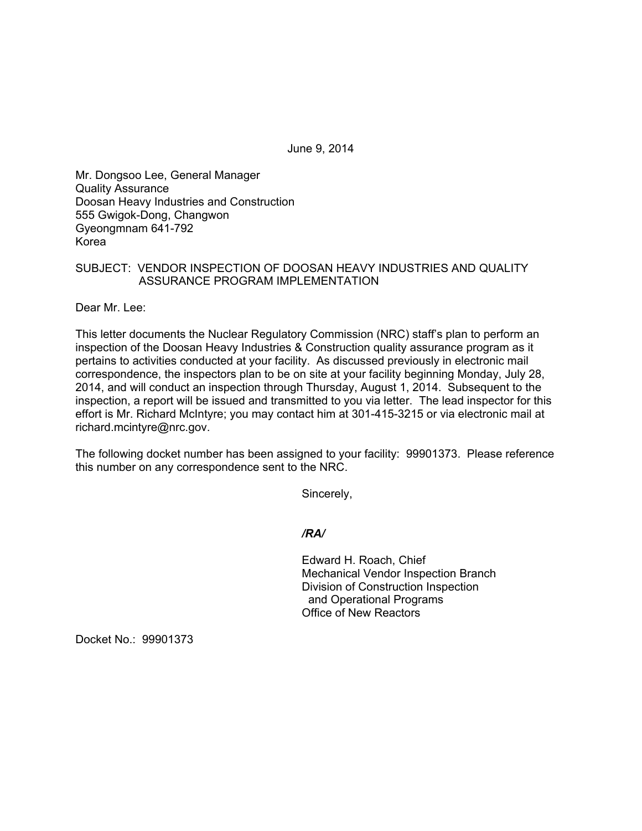June 9, 2014

Mr. Dongsoo Lee, General Manager Quality Assurance Doosan Heavy Industries and Construction 555 Gwigok-Dong, Changwon Gyeongmnam 641-792 Korea

# SUBJECT: VENDOR INSPECTION OF DOOSAN HEAVY INDUSTRIES AND QUALITY ASSURANCE PROGRAM IMPLEMENTATION

Dear Mr. Lee:

This letter documents the Nuclear Regulatory Commission (NRC) staff's plan to perform an inspection of the Doosan Heavy Industries & Construction quality assurance program as it pertains to activities conducted at your facility. As discussed previously in electronic mail correspondence, the inspectors plan to be on site at your facility beginning Monday, July 28, 2014, and will conduct an inspection through Thursday, August 1, 2014. Subsequent to the inspection, a report will be issued and transmitted to you via letter. The lead inspector for this effort is Mr. Richard McIntyre; you may contact him at 301-415-3215 or via electronic mail at richard.mcintyre@nrc.gov.

The following docket number has been assigned to your facility: 99901373. Please reference this number on any correspondence sent to the NRC.

Sincerely,

*/RA/* 

Edward H. Roach, Chief Mechanical Vendor Inspection Branch Division of Construction Inspection and Operational Programs Office of New Reactors

Docket No.: 99901373